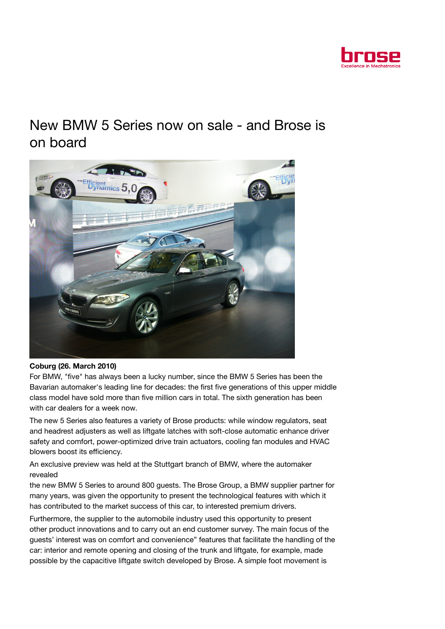

## New BMW 5 Series now on sale - and Brose is on board



## Coburg (26. March 2010)

For BMW, "five" has always been a lucky number, since the BMW 5 Series has been the Bavarian automaker's leading line for decades: the first five generations of this upper middle class model have sold more than five million cars in total. The sixth generation has been with car dealers for a week now.

The new 5 Series also features a variety of Brose products: while window regulators, seat and headrest adjusters as well as liftgate latches with soft-close automatic enhance driver safety and comfort, power-optimized drive train actuators, cooling fan modules and HVAC blowers boost its efficiency.

An exclusive preview was held at the Stuttgart branch of BMW, where the automaker revealed

the new BMW 5 Series to around 800 guests. The Brose Group, a BMW supplier partner for many years, was given the opportunity to present the technological features with which it has contributed to the market success of this car, to interested premium drivers.

Furthermore, the supplier to the automobile industry used this opportunity to present other product innovations and to carry out an end customer survey. The main focus of the guests' interest was on comfort and convenience" features that facilitate the handling of the car: interior and remote opening and closing of the trunk and liftgate, for example, made possible by the capacitive liftgate switch developed by Brose. A simple foot movement is